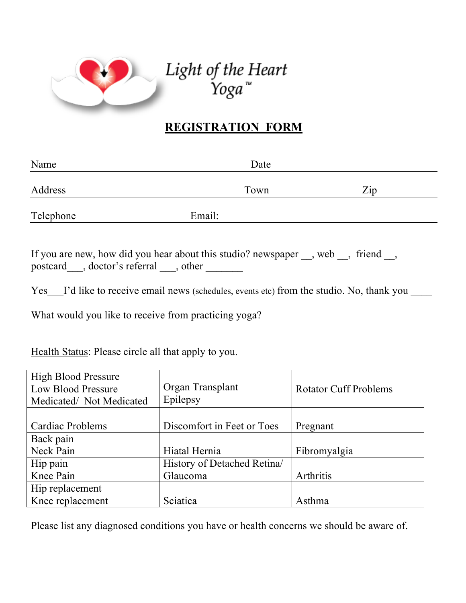

Light of the Heart<br>"Yoga

## **REGISTRATION FORM**

| Name      | Date   |                  |
|-----------|--------|------------------|
| Address   | Town   | $\overline{Zip}$ |
| Telephone | Email: |                  |

If you are new, how did you hear about this studio? newspaper \_\_, web \_\_, friend \_\_, postcard\_\_\_, doctor's referral \_\_\_, other \_\_\_\_\_\_

Yes I'd like to receive email news (schedules, events etc) from the studio. No, thank you

What would you like to receive from practicing yoga?

Health Status: Please circle all that apply to you.

| <b>High Blood Pressure</b><br>Low Blood Pressure<br>Medicated/Not Medicated | Organ Transplant<br>Epilepsy | <b>Rotator Cuff Problems</b> |
|-----------------------------------------------------------------------------|------------------------------|------------------------------|
|                                                                             |                              |                              |
| Cardiac Problems                                                            | Discomfort in Feet or Toes   | Pregnant                     |
| Back pain                                                                   |                              |                              |
| Neck Pain                                                                   | Hiatal Hernia                | Fibromyalgia                 |
| Hip pain                                                                    | History of Detached Retina   |                              |
| Knee Pain                                                                   | Glaucoma                     | Arthritis                    |
| Hip replacement                                                             |                              |                              |
| Knee replacement                                                            | Sciatica                     | Asthma                       |

Please list any diagnosed conditions you have or health concerns we should be aware of.